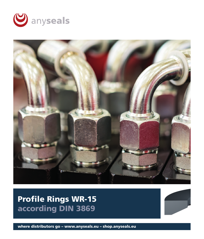



**Profile Rings WR-15** according DIN 3869



where distributors go - www.anyseals.eu - shop.anyseals.eu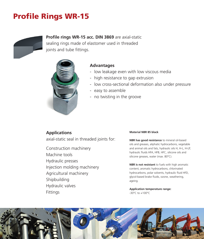# **Profile Rings WR-15**



**Profile rings WR-15 acc. DIN 3869** are axial-static sealing rings made of elastomer used in threaded joints and tube fittings.



## **Advantages**

- low leakage even with low viscous media
- high resistance to gap extrusion
- low cross-sectional deformation also under pressure
- easy to assemble
- no twisting in the groove

**Applications** axial-static seal in threaded joints for:

Construction machinery Machine tools Hydraulic presses Injection molding machinery Agricultural machinery Shipbuilding Hydraulic valves Fittings

#### **Material NBR 85 black**

**NBR has good resistance** to mineral oil-based oils and greases, aliphatic hydrocarbons, vegetable and animal oils and fats, hydraulic oils H, H-L, H-LP, hydraulic fluids HFA, HFB, HFC, silicone oils and silicone greases, water (max. 80°C).

**NBR is not resistant** to fuels with high aromatic content, aromatic hydrocarbons, chlorinated hydrocarbons, polar solvents, hydraulic fluid HFD, glycol-based brake fluids, ozone, weathering, ageing.

**Application temperature range:** -30°C to +100°C

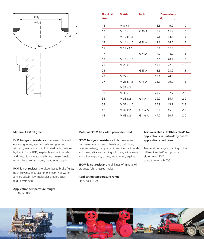



| <b>Nominal</b><br>size | <b>Metric</b>     | <b>Inch</b>         | <b>Dimensions</b>         |                  |         |
|------------------------|-------------------|---------------------|---------------------------|------------------|---------|
|                        |                   |                     | $\mathbf{d}_{\mathbf{q}}$ | $\mathbf{d}_{2}$ | $h_{1}$ |
| - 8                    | M 8 x 1           |                     | 6.5                       | 9.9              | 1.0     |
| 10                     | $M$ 10 $\times$ 1 | $G$ $1/s$ A         | 8.4                       | 11.9             | 1.0     |
| 12                     | M 12 x 1.5        |                     | 9.8                       | 14.4             | 1.5     |
| 14                     | M 14 x 1.5        | G $\frac{1}{4}$ A   | 11.6                      | 16.5             | 1.5     |
| 16                     | M 16 x 1.5        |                     | 13.8                      | 18.9             | 1.5     |
| 17                     |                   | G <sup>3</sup> /8 A | 14.7                      | 18.9             | 1.5     |
| 18                     | M 18 x 1.5        |                     | 15.7                      | 20.9             | 1.5     |
| 20                     | M 20 x 1.5        |                     | 17.8                      | 22.9             | 1.5     |
| 21                     |                   | $G\frac{1}{2}A$     | 18.5                      | 23.9             | 1.5     |
| 22                     | M 22 x 1.5        |                     | 19.6                      | 24.3             | 1.5     |
| 27                     | M 26 x 1.5        | G $\frac{3}{4}$ A   | 23.9                      | 29.2             | 1.5     |
|                        | M 27 x 2          |                     |                           |                  |         |
| 30                     | M 30 x 1.5        |                     | 27.7                      | 32.7             | 2.0     |
| 33                     | M 33 x 2          | G <sub>1</sub> A    | 29.7                      | 35.7             | 2.0     |
| 38                     | M 38 x 1.5        |                     | 35.9                      | 43.2             | 2.4     |
| 42                     | M 42 x 2          | G 1¼ A              | 38.8                      | 45.8             | 2.0     |
| 48                     | M 48 x 2          | G $1\frac{1}{2}$ A  | 44.7                      | 50.7             | 2.0     |

#### **Material FKM 80 green**

**FKM has good resistance** to mineral oil-based oils and greases, synthetic oils and greases, aliphatic, aromatic and chlorinated hydrocarbons, hydraulic fluids HFD, vegetable and animal oils and fats,silicone oils and silicone greases, fuels, non-polar solvents, ozone, weathering, ageing.

FKM is not resistant to glycol-based brake fluids, polar solvents (e.g., acetone), steam, hot water, amines, alkalis, low-molecular organic acids (e.g., acetic acid).

**Application temperature range:**  -15 to +200°C

#### **Material EPDM 80 violet, peroxide cured**

**EPDM has good resistance** to hot water and hot steam, many polar solvents (e.g., alcohols, ketones, esters), many organic and inorganic acids and bases, alkaline washing solutions, silicone oils and silicone grease, ozone, weathering, ageing.

**EPDM is not resistant** to all kinds of mineral oil products (oils, greases, fuels)

**Application temperature range:**  -45°C to +150°C

#### **Also available in FFKM evolast® for applications in particularly critical application conditions.**

Temperature range according to the different evolast® compounds: either min. -40°C or up to max. +340°C